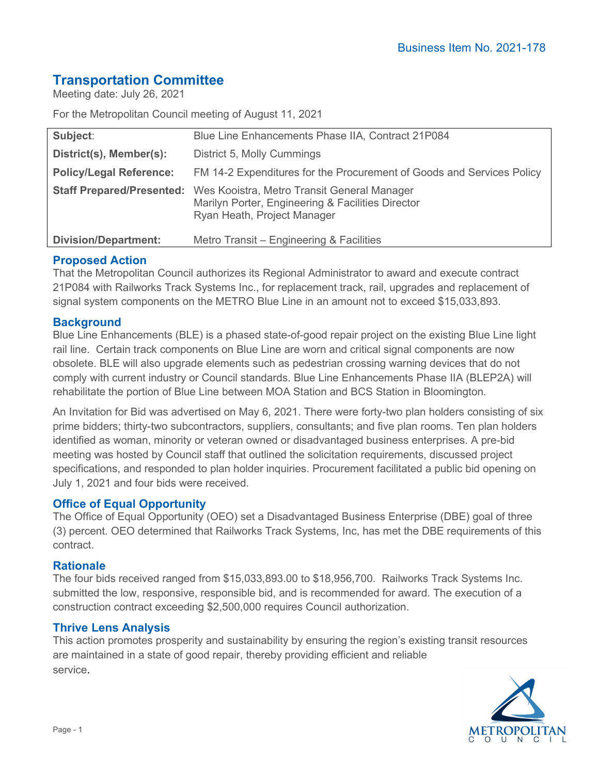# **Transportation Committee**

Meeting date: July 26, 2021

For the Metropolitan Council meeting of August 11, 2021

| Subject:                         | Blue Line Enhancements Phase IIA, Contract 21P084                                                                               |
|----------------------------------|---------------------------------------------------------------------------------------------------------------------------------|
| District(s), Member(s):          | District 5, Molly Cummings                                                                                                      |
| <b>Policy/Legal Reference:</b>   | FM 14-2 Expenditures for the Procurement of Goods and Services Policy                                                           |
| <b>Staff Prepared/Presented:</b> | Wes Kooistra, Metro Transit General Manager<br>Marilyn Porter, Engineering & Facilities Director<br>Ryan Heath, Project Manager |
| <b>Division/Department:</b>      | Metro Transit - Engineering & Facilities                                                                                        |

# **Proposed Action**

That the Metropolitan Council authorizes its Regional Administrator to award and execute contract 21P084 with Railworks Track Systems Inc., for replacement track, rail, upgrades and replacement of signal system components on the METRO Blue Line in an amount not to exceed \$15,033,893.

# **Background**

Blue Line Enhancements (BLE) is a phased state-of-good repair project on the existing Blue Line light rail line. Certain track components on Blue Line are worn and critical signal components are now obsolete. BLE will also upgrade elements such as pedestrian crossing warning devices that do not comply with current industry or Council standards. Blue Line Enhancements Phase IIA (BLEP2A) will rehabilitate the portion of Blue Line between MOA Station and BCS Station in Bloomington.

An Invitation for Bid was advertised on May 6, 2021. There were forty-two plan holders consisting of six prime bidders; thirty-two subcontractors, suppliers, consultants; and five plan rooms. Ten plan holders identified as woman, minority or veteran owned or disadvantaged business enterprises. A pre-bid meeting was hosted by Council staff that outlined the solicitation requirements, discussed project specifications, and responded to plan holder inquiries. Procurement facilitated a public bid opening on July 1, 2021 and four bids were received.

# **Office of Equal Opportunity**

The Office of Equal Opportunity (OEO) set a Disadvantaged Business Enterprise (DBE) goal of three (3) percent. OEO determined that Railworks Track Systems, Inc, has met the DBE requirements of this contract.

#### **Rationale**

The four bids received ranged from \$15,033,893.00 to \$18,956,700. Railworks Track Systems Inc. submitted the low, responsive, responsible bid, and is recommended for award. The execution of a construction contract exceeding \$2,500,000 requires Council authorization.

#### **Thrive Lens Analysis**

This action promotes prosperity and sustainability by ensuring the region's existing transit resources are maintained in a state of good repair, thereby providing efficient and reliable service.

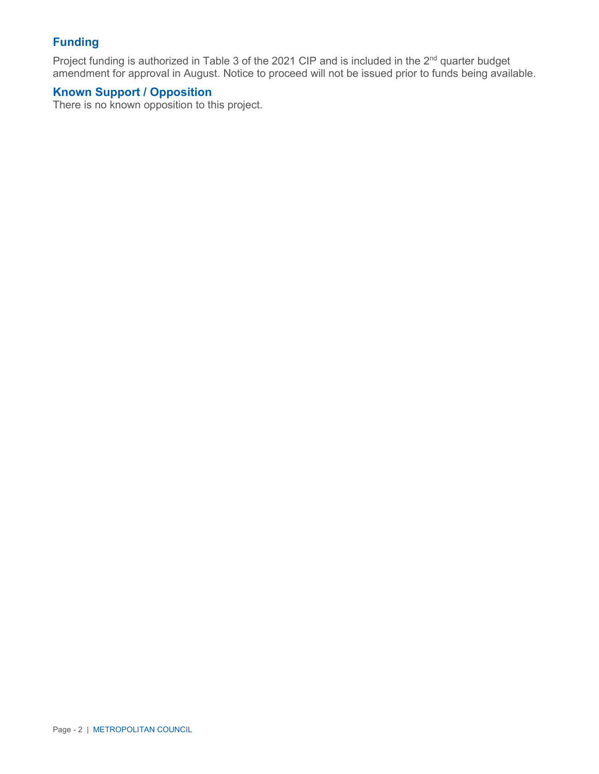# **Funding**

Project funding is authorized in Table 3 of the 2021 CIP and is included in the 2<sup>nd</sup> quarter budget amendment for approval in August. Notice to proceed will not be issued prior to funds being available.

# **Known Support / Opposition**

There is no known opposition to this project.